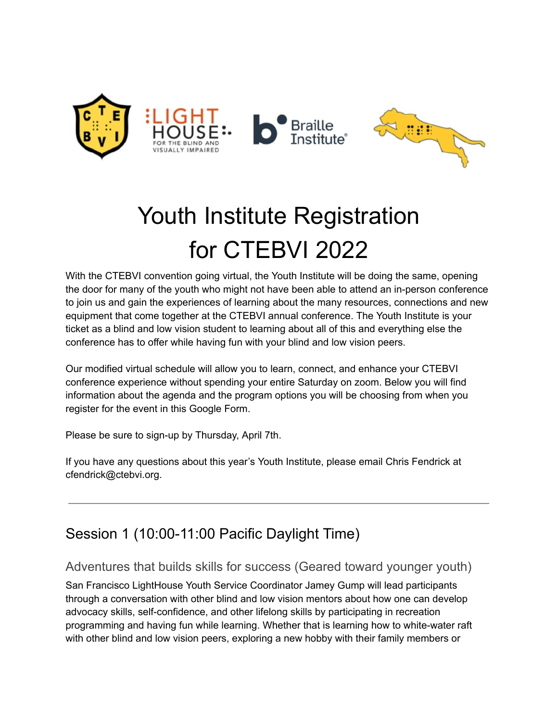

# Youth Institute Registration for CTEBVI 2022

With the CTEBVI convention going virtual, the Youth Institute will be doing the same, opening the door for many of the youth who might not have been able to attend an in-person conference to join us and gain the experiences of learning about the many resources, connections and new equipment that come together at the CTEBVI annual conference. The Youth Institute is your ticket as a blind and low vision student to learning about all of this and everything else the conference has to offer while having fun with your blind and low vision peers.

Our modified virtual schedule will allow you to learn, connect, and enhance your CTEBVI conference experience without spending your entire Saturday on zoom. Below you will find information about the agenda and the program options you will be choosing from when you register for the event in this Google Form.

Please be sure to sign-up by Thursday, April 7th.

If you have any questions about this year's Youth Institute, please email Chris Fendrick at cfendrick@ctebvi.org.

# Session 1 (10:00-11:00 Pacific Daylight Time)

### Adventures that builds skills for success (Geared toward younger youth)

San Francisco LightHouse Youth Service Coordinator Jamey Gump will lead participants through a conversation with other blind and low vision mentors about how one can develop advocacy skills, self-confidence, and other lifelong skills by participating in recreation programming and having fun while learning. Whether that is learning how to white-water raft with other blind and low vision peers, exploring a new hobby with their family members or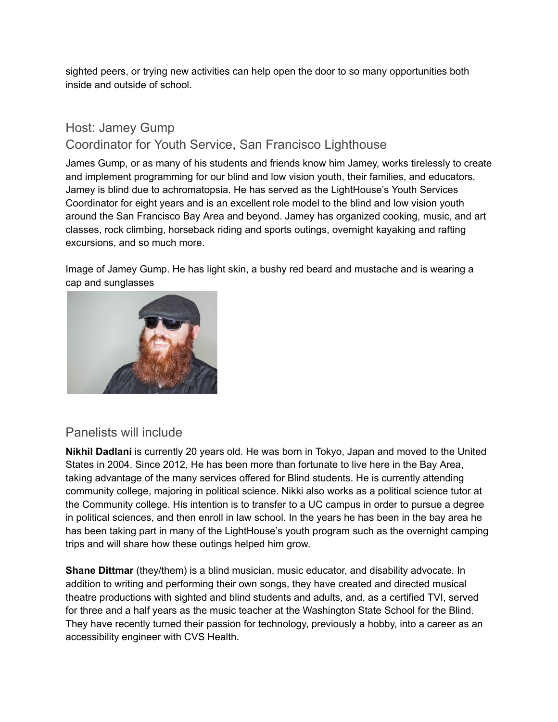sighted peers, or trying new activities can help open the door to so many opportunities both inside and outside of school.

## Host: Jamey Gump Coordinator for Youth Service, San Francisco Lighthouse

James Gump, or as many of his students and friends know him Jamey, works tirelessly to create and implement programming for our blind and low vision youth, their families, and educators. Jamey is blind due to achromatopsia. He has served as the LightHouse's Youth Services Coordinator for eight years and is an excellent role model to the blind and low vision youth around the San Francisco Bay Area and beyond. Jamey has organized cooking, music, and art classes, rock climbing, horseback riding and sports outings, overnight kayaking and rafting excursions, and so much more.

Image of Jamey Gump. He has light skin, a bushy red beard and mustache and is wearing a cap and sunglasses



#### Panelists will include

**Nikhil Dadlani** is currently 20 years old. He was born in Tokyo, Japan and moved to the United States in 2004. Since 2012, He has been more than fortunate to live here in the Bay Area, taking advantage of the many services offered for Blind students. He is currently attending community college, majoring in political science. Nikki also works as a political science tutor at the Community college. His intention is to transfer to a UC campus in order to pursue a degree in political sciences, and then enroll in law school. In the years he has been in the bay area he has been taking part in many of the LightHouse's youth program such as the overnight camping trips and will share how these outings helped him grow.

**Shane Dittmar** (they/them) is a blind musician, music educator, and disability advocate. In addition to writing and performing their own songs, they have created and directed musical theatre productions with sighted and blind students and adults, and, as a certified TVI, served for three and a half years as the music teacher at the Washington State School for the Blind. They have recently turned their passion for technology, previously a hobby, into a career as an accessibility engineer with CVS Health.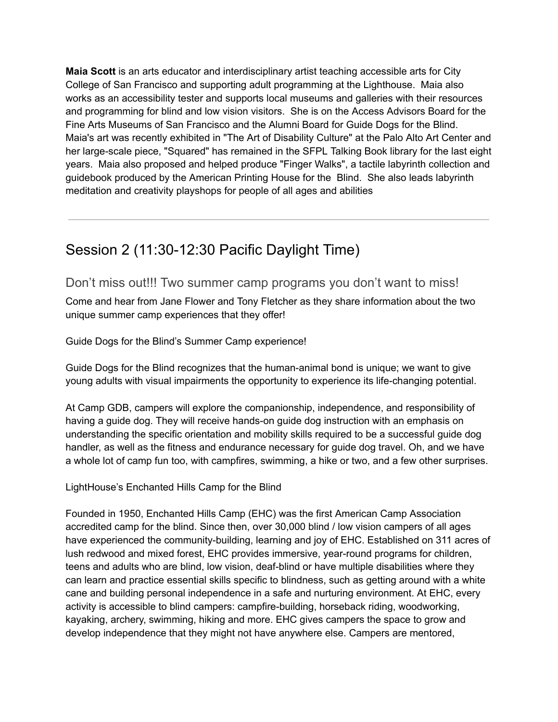**Maia Scott** is an arts educator and interdisciplinary artist teaching accessible arts for City College of San Francisco and supporting adult programming at the Lighthouse. Maia also works as an accessibility tester and supports local museums and galleries with their resources and programming for blind and low vision visitors. She is on the Access Advisors Board for the Fine Arts Museums of San Francisco and the Alumni Board for Guide Dogs for the Blind. Maia's art was recently exhibited in "The Art of Disability Culture" at the Palo Alto Art Center and her large-scale piece, "Squared" has remained in the SFPL Talking Book library for the last eight years. Maia also proposed and helped produce "Finger Walks", a tactile labyrinth collection and guidebook produced by the American Printing House for the Blind. She also leads labyrinth meditation and creativity playshops for people of all ages and abilities

# Session 2 (11:30-12:30 Pacific Daylight Time)

Don't miss out!!! Two summer camp programs you don't want to miss!

Come and hear from Jane Flower and Tony Fletcher as they share information about the two unique summer camp experiences that they offer!

Guide Dogs for the Blind's Summer Camp experience!

Guide Dogs for the Blind recognizes that the human-animal bond is unique; we want to give young adults with visual impairments the opportunity to experience its life-changing potential.

At Camp GDB, campers will explore the companionship, independence, and responsibility of having a guide dog. They will receive hands-on guide dog instruction with an emphasis on understanding the specific orientation and mobility skills required to be a successful guide dog handler, as well as the fitness and endurance necessary for guide dog travel. Oh, and we have a whole lot of camp fun too, with campfires, swimming, a hike or two, and a few other surprises.

LightHouse's Enchanted Hills Camp for the Blind

Founded in 1950, Enchanted Hills Camp (EHC) was the first American Camp Association accredited camp for the blind. Since then, over 30,000 blind / low vision campers of all ages have experienced the community-building, learning and joy of EHC. Established on 311 acres of lush redwood and mixed forest, EHC provides immersive, year-round programs for children, teens and adults who are blind, low vision, deaf-blind or have multiple disabilities where they can learn and practice essential skills specific to blindness, such as getting around with a white cane and building personal independence in a safe and nurturing environment. At EHC, every activity is accessible to blind campers: campfire-building, horseback riding, woodworking, kayaking, archery, swimming, hiking and more. EHC gives campers the space to grow and develop independence that they might not have anywhere else. Campers are mentored,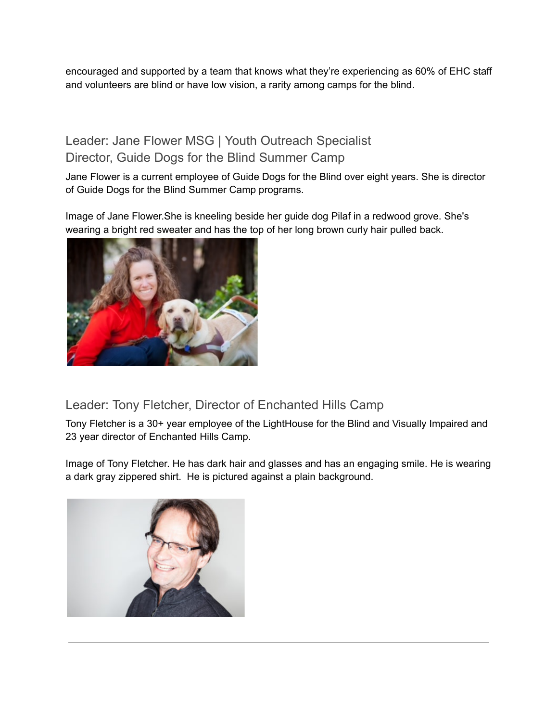encouraged and supported by a team that knows what they're experiencing as 60% of EHC staff and volunteers are blind or have low vision, a rarity among camps for the blind.

## Leader: Jane Flower MSG | Youth Outreach Specialist Director, Guide Dogs for the Blind Summer Camp

Jane Flower is a current employee of Guide Dogs for the Blind over eight years. She is director of Guide Dogs for the Blind Summer Camp programs.

Image of Jane Flower.She is kneeling beside her guide dog Pilaf in a redwood grove. She's wearing a bright red sweater and has the top of her long brown curly hair pulled back.



### Leader: Tony Fletcher, Director of Enchanted Hills Camp

Tony Fletcher is a 30+ year employee of the LightHouse for the Blind and Visually Impaired and 23 year director of Enchanted Hills Camp.

Image of Tony Fletcher. He has dark hair and glasses and has an engaging smile. He is wearing a dark gray zippered shirt. He is pictured against a plain background.

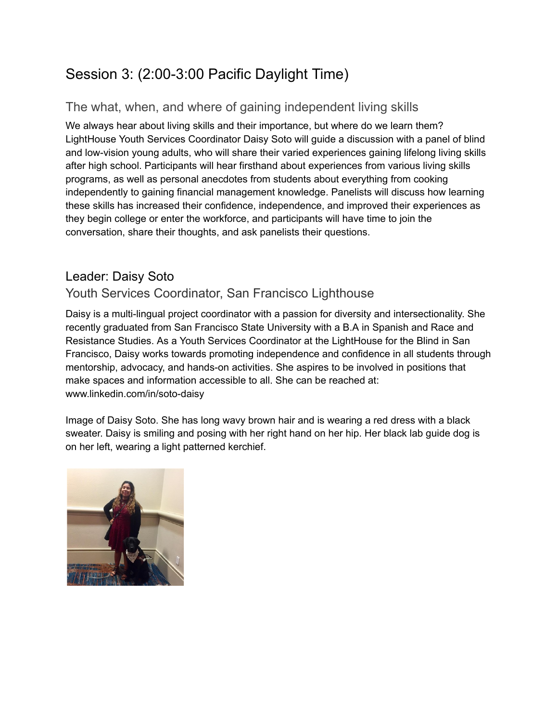# Session 3: (2:00-3:00 Pacific Daylight Time)

## The what, when, and where of gaining independent living skills

We always hear about living skills and their importance, but where do we learn them? LightHouse Youth Services Coordinator Daisy Soto will guide a discussion with a panel of blind and low-vision young adults, who will share their varied experiences gaining lifelong living skills after high school. Participants will hear firsthand about experiences from various living skills programs, as well as personal anecdotes from students about everything from cooking independently to gaining financial management knowledge. Panelists will discuss how learning these skills has increased their confidence, independence, and improved their experiences as they begin college or enter the workforce, and participants will have time to join the conversation, share their thoughts, and ask panelists their questions.

## Leader: Daisy Soto

### Youth Services Coordinator, San Francisco Lighthouse

Daisy is a multi-lingual project coordinator with a passion for diversity and intersectionality. She recently graduated from San Francisco State University with a B.A in Spanish and Race and Resistance Studies. As a Youth Services Coordinator at the LightHouse for the Blind in San Francisco, Daisy works towards promoting independence and confidence in all students through mentorship, advocacy, and hands-on activities. She aspires to be involved in positions that make spaces and information accessible to all. She can be reached at: www.linkedin.com/in/soto-daisy

Image of Daisy Soto. She has long wavy brown hair and is wearing a red dress with a black sweater. Daisy is smiling and posing with her right hand on her hip. Her black lab guide dog is on her left, wearing a light patterned kerchief.

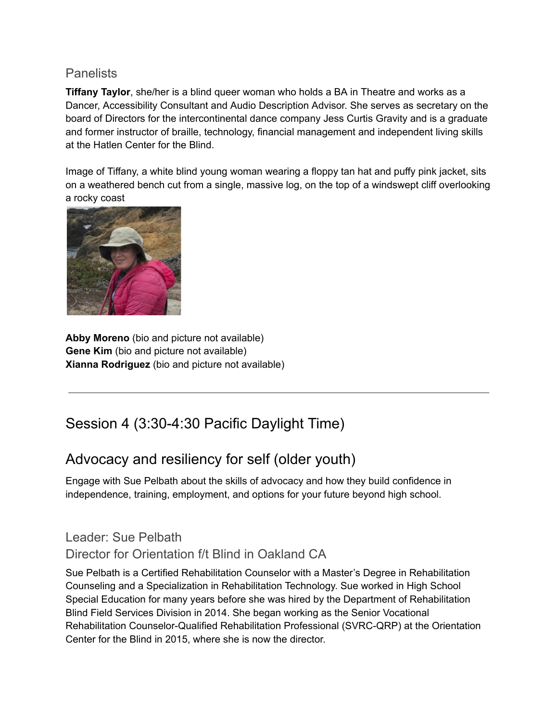#### **Panelists**

**Tiffany Taylor**, she/her is a blind queer woman who holds a BA in Theatre and works as a Dancer, Accessibility Consultant and Audio Description Advisor. She serves as secretary on the board of Directors for the intercontinental dance company Jess Curtis Gravity and is a graduate and former instructor of braille, technology, financial management and independent living skills at the Hatlen Center for the Blind.

Image of Tiffany, a white blind young woman wearing a floppy tan hat and puffy pink jacket, sits on a weathered bench cut from a single, massive log, on the top of a windswept cliff overlooking a rocky coast



**Abby Moreno** (bio and picture not available) **Gene Kim** (bio and picture not available) **Xianna Rodriguez** (bio and picture not available)

# Session 4 (3:30-4:30 Pacific Daylight Time)

# Advocacy and resiliency for self (older youth)

Engage with Sue Pelbath about the skills of advocacy and how they build confidence in independence, training, employment, and options for your future beyond high school.

## Leader: Sue Pelbath

#### Director for Orientation f/t Blind in Oakland CA

Sue Pelbath is a Certified Rehabilitation Counselor with a Master's Degree in Rehabilitation Counseling and a Specialization in Rehabilitation Technology. Sue worked in High School Special Education for many years before she was hired by the Department of Rehabilitation Blind Field Services Division in 2014. She began working as the Senior Vocational Rehabilitation Counselor-Qualified Rehabilitation Professional (SVRC-QRP) at the Orientation Center for the Blind in 2015, where she is now the director.